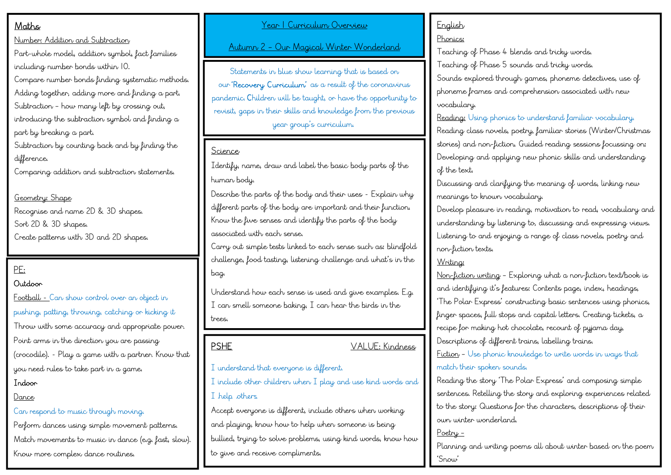# Maths

Number: Addition and Subtraction

Part-whole model, addition symbol, fact families including number bonds within 10.

Compare number bonds finding systematic methods. Adding together, adding more and finding a part. Subtraction – how many left by crossing out, introducing the subtraction symbol and finding a part by breaking a part.

Subtraction by counting back and by finding the difference.

Comparing addition and subtraction statements.

Geometry: Shape Recognise and name 2D & 3D shapes. Sort 2D & 3D shapes. Create patterns with 3D and 2D shapes.

# PE:

### Outdoor

Football - Can show control over an object in pushing, patting, throwing, catching or kicking it Throw with some accuracy and appropriate power. Point arms in the direction you are passing (crocodile). - Play a game with a partner. Know that you need rules to take part in a game. Indoor

#### Dance

#### Can respond to music through moving.

Perform dances using simple movement patterns. Match movements to music in dance (e.g. fast, slow). Know more complex dance routines.

#### Year 1 Curriculum Overview

Autumn 2 – Our Magical Winter Wonderland

Statements in blue show learning that is based on our 'Recovery Curriculum' as a result of the coronavirus pandemic. Children will be taught, or have the opportunity to revisit, gaps in their skills and knowledge from the previous year group's curriculum.

#### Science

Identify, name, draw and label the basic body parts of the human body.

Describe the parts of the body and their uses - Explain why different parts of the body are important and their function. Know the five senses and identify the parts of the body associated with each sense.

Carry out simple tests linked to each sense such as: blindfold challenge, food tasting, listening challenge and what's in the bag.

Understand how each sense is used and give examples. E.g. I can smell someone baking, I can hear the birds in the trees.

PSHE VALUE: Kindness

I understand that everyone is different. I include other children when I play and use kind words and I help others

Accept everyone is different, include others when working and playing, know how to help when someone is being bullied, trying to solve problems, using kind words, know how to give and receive compliments.

# **English**

#### **Phonics:**

Teaching of Phase 4 blends and tricky words. Teaching of Phase 5 sounds and tricky words. Sounds explored through games, phoneme detectives, use of phoneme frames and comprehension associated with new vocabulary.

Reading: Using phonics to understand familiar vocabulary. Reading class novels, poetry, familiar stories (Winter/Christmas stories) and non-fiction. Guided reading sessions focussing on: Developing and applying new phonic skills and understanding of the text.

Discussing and clarifying the meaning of words, linking new meanings to known vocabulary.

Develop pleasure in reading, motivation to read, vocabulary and understanding by listening to, discussing and expressing views. Listening to and enjoying a range of class novels, poetry and non-fiction texts.

### Writing:

Non-fiction writing – Exploring what a non-fiction text/book is and identifying it's features: Contents page, index, headings, 'The Polar Express' constructing basic sentences using phonics, finger spaces, full stops and capital letters. Creating tickets, a recipe for making hot chocolate, recount of pyjama day, Descriptions of different trains, labelling trains. Fiction – Use phonic knowledge to write words in ways that match their spoken sounds.

Reading the story 'The Polar Express' and composing simple sentences. Retelling the story and exploring experiences related to the story: Questions for the characters, descriptions of their own winter wonderland.

#### Poetry –

Planning and writing poems all about winter based on the poem 'Snow'